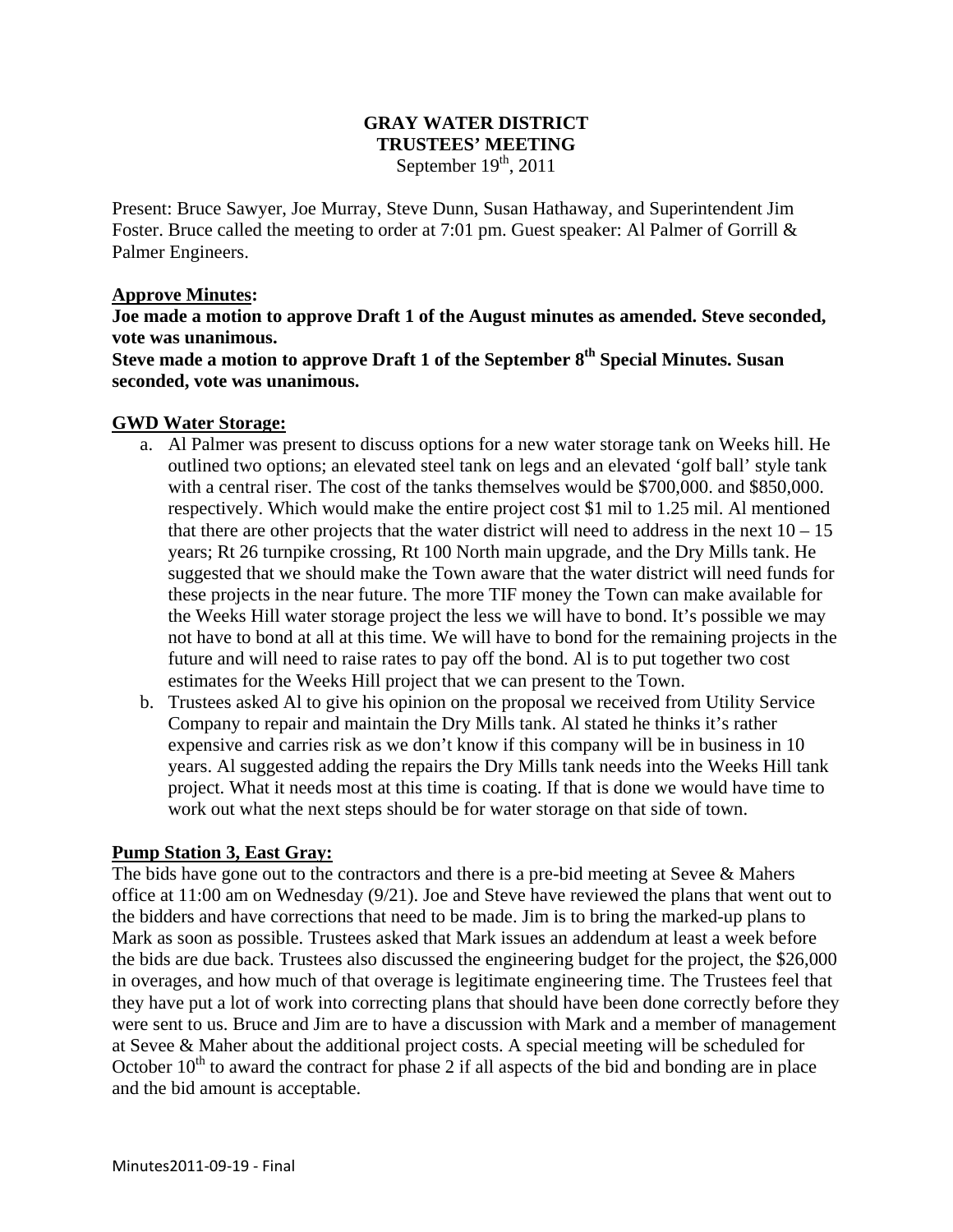## **GRAY WATER DISTRICT TRUSTEES' MEETING**  September  $19<sup>th</sup>$ , 2011

Present: Bruce Sawyer, Joe Murray, Steve Dunn, Susan Hathaway, and Superintendent Jim Foster. Bruce called the meeting to order at 7:01 pm. Guest speaker: Al Palmer of Gorrill & Palmer Engineers.

## **Approve Minutes:**

**Joe made a motion to approve Draft 1 of the August minutes as amended. Steve seconded, vote was unanimous.** 

Steve made a motion to approve Draft 1 of the September 8<sup>th</sup> Special Minutes. Susan **seconded, vote was unanimous.**

#### **GWD Water Storage:**

- a. Al Palmer was present to discuss options for a new water storage tank on Weeks hill. He outlined two options; an elevated steel tank on legs and an elevated 'golf ball' style tank with a central riser. The cost of the tanks themselves would be \$700,000. and \$850,000. respectively. Which would make the entire project cost \$1 mil to 1.25 mil. Al mentioned that there are other projects that the water district will need to address in the next  $10 - 15$ years; Rt 26 turnpike crossing, Rt 100 North main upgrade, and the Dry Mills tank. He suggested that we should make the Town aware that the water district will need funds for these projects in the near future. The more TIF money the Town can make available for the Weeks Hill water storage project the less we will have to bond. It's possible we may not have to bond at all at this time. We will have to bond for the remaining projects in the future and will need to raise rates to pay off the bond. Al is to put together two cost estimates for the Weeks Hill project that we can present to the Town.
- b. Trustees asked Al to give his opinion on the proposal we received from Utility Service Company to repair and maintain the Dry Mills tank. Al stated he thinks it's rather expensive and carries risk as we don't know if this company will be in business in 10 years. Al suggested adding the repairs the Dry Mills tank needs into the Weeks Hill tank project. What it needs most at this time is coating. If that is done we would have time to work out what the next steps should be for water storage on that side of town.

## **Pump Station 3, East Gray:**

The bids have gone out to the contractors and there is a pre-bid meeting at Sevee & Mahers office at 11:00 am on Wednesday (9/21). Joe and Steve have reviewed the plans that went out to the bidders and have corrections that need to be made. Jim is to bring the marked-up plans to Mark as soon as possible. Trustees asked that Mark issues an addendum at least a week before the bids are due back. Trustees also discussed the engineering budget for the project, the \$26,000 in overages, and how much of that overage is legitimate engineering time. The Trustees feel that they have put a lot of work into correcting plans that should have been done correctly before they were sent to us. Bruce and Jim are to have a discussion with Mark and a member of management at Sevee & Maher about the additional project costs. A special meeting will be scheduled for October  $10<sup>th</sup>$  to award the contract for phase 2 if all aspects of the bid and bonding are in place and the bid amount is acceptable.